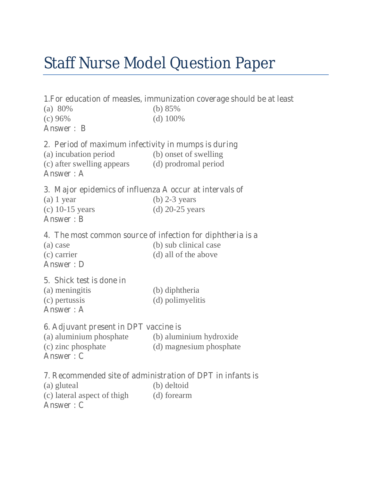# Staff Nurse Model Question Paper

# **1.For education of measles, immunization coverage should be at least**  (a) 80% (b) 85% (c) 96% (d) 100% **Answer : B 2. Period of maximum infectivity in mumps is during**  (a) incubation period (b) onset of swelling (c) after swelling appears (d) prodromal period **Answer : A 3. Major epidemics of influenza A occur at intervals of**  (a)  $1$  year (b)  $2-3$  years (c) 10-15 years (d) 20-25 years **Answer : B 4. The most common source of infection for diphtheria is a**  (a) case (b) sub clinical case (c) carrier (d) all of the above **Answer : D 5. Shick test is done in**  (a) meningitis (b) diphtheria (c) pertussis (d) polimyelitis **Answer : A 6. Adjuvant present in DPT vaccine is** (a) aluminium phosphate (b) aluminium hydroxide (c) zinc phosphate (d) magnesium phosphate **Answer : C 7. Recommended site of administration of DPT in infants is** (a) gluteal (b) deltoid (c) lateral aspect of thigh (d) forearm

**Answer : C**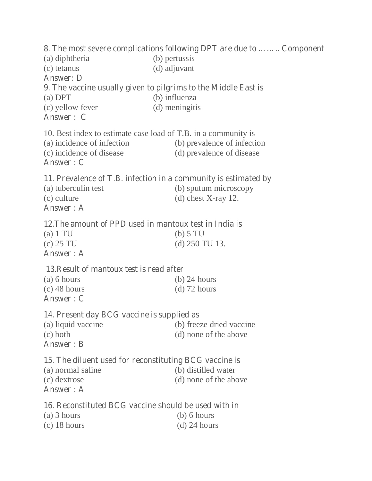## **8. The most severe complications following DPT are due to …….. Component**  (a) diphtheria (b) pertussis (c) tetanus (d) adjuvant **Answer: D 9. The vaccine usually given to pilgrims to the Middle East is** (a) DPT (b) influenza (c) yellow fever (d) meningitis **Answer : C**  10. Best index to estimate case load of T.B. in a community is (a) incidence of infection (b) prevalence of infection (c) incidence of disease (d) prevalence of disease **Answer : C 11. Prevalence of T.B. infection in a community is estimated by** (a) tuberculin test (b) sputum microscopy (c) culture (d) chest X-ray 12. **Answer : A 12.The amount of PPD used in mantoux test in India is** (a) 1 TU (b) 5 TU (c) 25 TU (d) 250 TU 13. **Answer : A 13.Result of mantoux test is read after** (a) 6 hours (b) 24 hours  $\left( \text{c} \right)$  48 hours (d) 72 hours **Answer : C 14. Present day BCG vaccine is supplied as** (a) liquid vaccine (b) freeze dried vaccine (c) both (d) none of the above **Answer : B 15. The diluent used for reconstituting BCG vaccine is** (a) normal saline (b) distilled water (c) dextrose (d) none of the above **Answer : A 16. Reconstituted BCG vaccine should be used with in** (a) 3 hours (b) 6 hours (c)  $18 \text{ hours}$  (d)  $24 \text{ hours}$